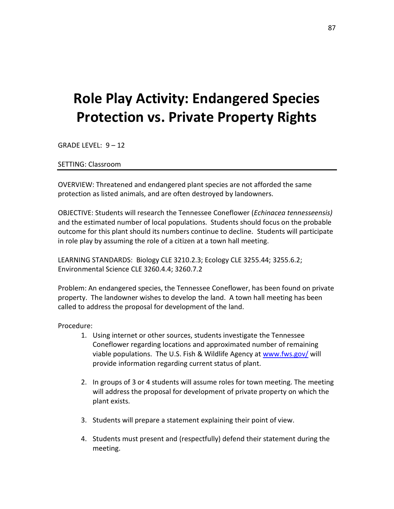## **Role Play Activity: Endangered Species Protection vs. Private Property Rights**

GRADE LEVEL: 9 – 12

SETTING: Classroom

OVERVIEW: Threatened and endangered plant species are not afforded the same protection as listed animals, and are often destroyed by landowners.

OBJECTIVE: Students will research the Tennessee Coneflower (*Echinacea tennesseensis)* and the estimated number of local populations. Students should focus on the probable outcome for this plant should its numbers continue to decline. Students will participate in role play by assuming the role of a citizen at a town hall meeting.

LEARNING STANDARDS: Biology CLE 3210.2.3; Ecology CLE 3255.44; 3255.6.2; Environmental Science CLE 3260.4.4; 3260.7.2

Problem: An endangered species, the Tennessee Coneflower, has been found on private property. The landowner wishes to develop the land. A town hall meeting has been called to address the proposal for development of the land.

Procedure:

- 1. Using internet or other sources, students investigate the Tennessee Coneflower regarding locations and approximated number of remaining viable populations. The U.S. Fish & Wildlife Agency at [www.fws.gov/](http://www.fws.gov/) will provide information regarding current status of plant.
- 2. In groups of 3 or 4 students will assume roles for town meeting. The meeting will address the proposal for development of private property on which the plant exists.
- 3. Students will prepare a statement explaining their point of view.
- 4. Students must present and (respectfully) defend their statement during the meeting.